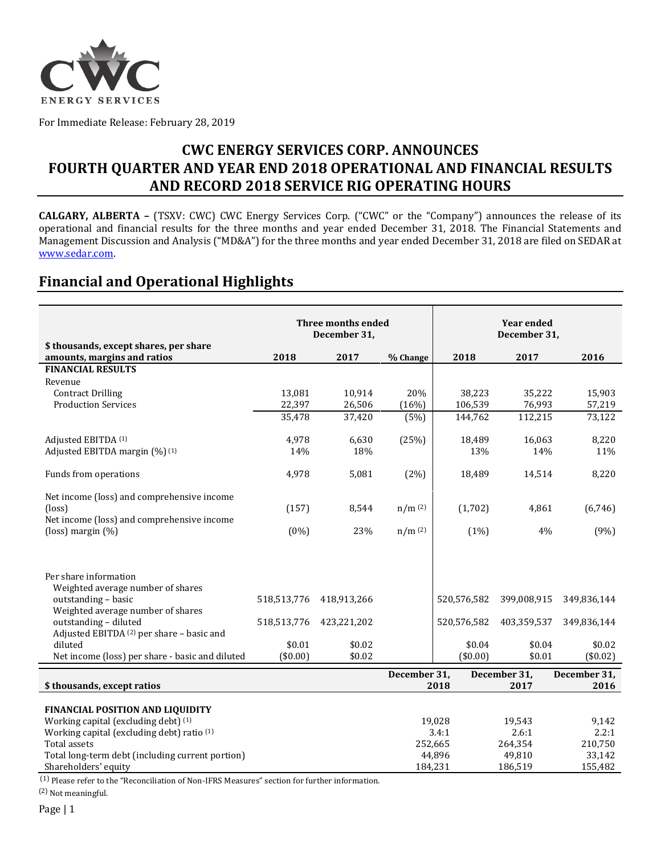

For Immediate Release: February 28, 2019

## **CWC ENERGY SERVICES CORP. ANNOUNCES FOURTH QUARTER AND YEAR END 2018 OPERATIONAL AND FINANCIAL RESULTS AND RECORD 2018 SERVICE RIG OPERATING HOURS**

**CALGARY, ALBERTA –** (TSXV: CWC) CWC Energy Services Corp. ("CWC" or the "Company") announces the release of its operational and financial results for the three months and year ended December 31, 2018. The Financial Statements and Management Discussion and Analysis ("MD&A") for the three months and year ended December 31, 2018 are filed on SEDAR at [www.sedar.com.](http://www.sedar.com/)

### **Financial and Operational Highlights**

|                                                                                                                    |                            | Three months ended<br>December 31, |              |                            | <b>Year ended</b><br>December 31, |                            |
|--------------------------------------------------------------------------------------------------------------------|----------------------------|------------------------------------|--------------|----------------------------|-----------------------------------|----------------------------|
| \$ thousands, except shares, per share<br>amounts, margins and ratios                                              | 2018                       | 2017                               | % Change     | 2018                       | 2017                              | 2016                       |
| <b>FINANCIAL RESULTS</b>                                                                                           |                            |                                    |              |                            |                                   |                            |
| Revenue<br><b>Contract Drilling</b><br><b>Production Services</b>                                                  | 13,081<br>22,397<br>35,478 | 10,914<br>26,506                   | 20%<br>(16%) | 38,223<br>106,539          | 35,222<br>76,993                  | 15,903<br>57,219           |
|                                                                                                                    |                            | 37,420                             | (5%)         | 144,762                    | 112,215                           | 73,122                     |
| Adjusted EBITDA (1)<br>Adjusted EBITDA margin (%) <sup>(1)</sup>                                                   | 4,978<br>14%               | 6,630<br>18%                       | (25%)        | 18,489<br>13%              | 16,063<br>14%                     | 8,220<br>11%               |
| Funds from operations                                                                                              | 4,978                      | 5,081                              | (2%)         | 18,489                     | 14,514                            | 8,220                      |
| Net income (loss) and comprehensive income<br>$(\text{loss})$<br>Net income (loss) and comprehensive income        | (157)                      | 8,544                              | $n/m^{(2)}$  | (1,702)                    | 4,861                             | (6,746)                    |
| (loss) margin $(\%)$                                                                                               | $(0\%)$                    | 23%                                | $n/m^{(2)}$  | (1%)                       | 4%                                | (9%)                       |
| Per share information<br>Weighted average number of shares                                                         |                            |                                    |              |                            |                                   |                            |
| outstanding - basic<br>Weighted average number of shares<br>outstanding - diluted                                  | 518,513,776<br>518,513,776 | 418,913,266<br>423,221,202         |              | 520,576,582<br>520,576,582 | 399,008,915<br>403,359,537        | 349,836,144<br>349,836,144 |
| Adjusted EBITDA <sup>(2)</sup> per share - basic and<br>diluted<br>Net income (loss) per share - basic and diluted | \$0.01<br>(\$0.00)         | \$0.02<br>\$0.02                   |              | \$0.04<br>(\$0.00)         | \$0.04<br>\$0.01                  | \$0.02<br>(\$0.02)         |
| \$ thousands, except ratios                                                                                        |                            |                                    | December 31, | 2018                       | December 31,<br>2017              | December 31,<br>2016       |
| FINANCIAL POSITION AND LIQUIDITY<br>Working capital (excluding debt) (1)                                           |                            |                                    |              | 19,028                     | 19,543                            | 9,142                      |
| Working capital (excluding debt) ratio (1)                                                                         |                            |                                    |              | 3.4:1                      | 2.6:1                             | 2.2:1                      |
| Total assets                                                                                                       |                            |                                    |              | 252,665                    | 264,354                           | 210,750                    |
| Total long-term debt (including current portion)<br>Shareholders' equity                                           |                            |                                    |              | 44,896<br>184,231          | 49,810<br>186,519                 | 33,142<br>155,482          |

<sup>(1)</sup> Please refer to the "Reconciliation of Non-IFRS Measures" section for further information. (2) Not meaningful.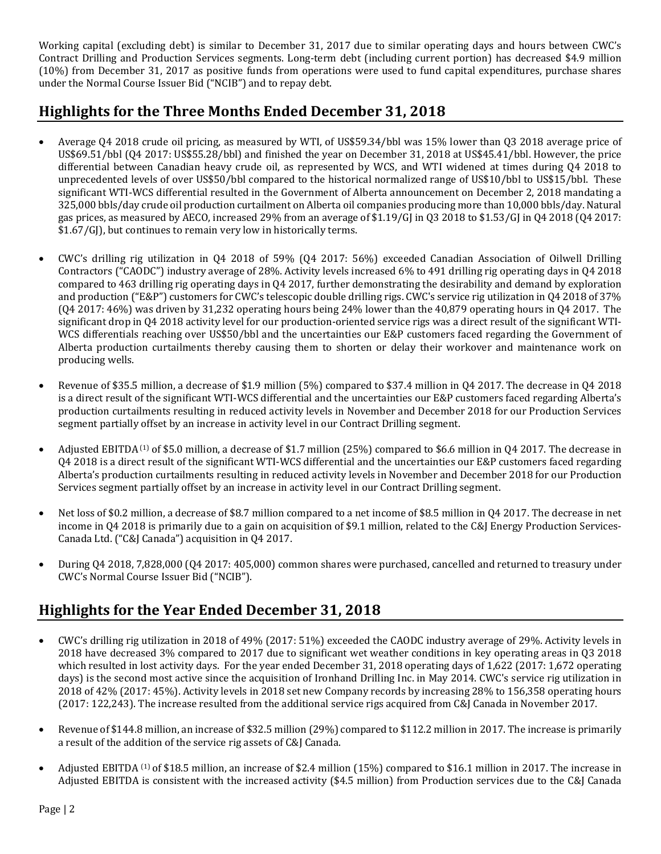Working capital (excluding debt) is similar to December 31, 2017 due to similar operating days and hours between CWC's Contract Drilling and Production Services segments. Long-term debt (including current portion) has decreased \$4.9 million (10%) from December 31, 2017 as positive funds from operations were used to fund capital expenditures, purchase shares under the Normal Course Issuer Bid ("NCIB") and to repay debt.

# **Highlights for the Three Months Ended December 31, 2018**

- Average Q4 2018 crude oil pricing, as measured by WTI, of US\$59.34/bbl was 15% lower than Q3 2018 average price of US\$69.51/bbl (Q4 2017: US\$55.28/bbl) and finished the year on December 31, 2018 at US\$45.41/bbl. However, the price differential between Canadian heavy crude oil, as represented by WCS, and WTI widened at times during Q4 2018 to unprecedented levels of over US\$50/bbl compared to the historical normalized range of US\$10/bbl to US\$15/bbl. These significant WTI-WCS differential resulted in the Government of Alberta announcement on December 2, 2018 mandating a 325,000 bbls/day crude oil production curtailment on Alberta oil companies producing more than 10,000 bbls/day. Natural gas prices, as measured by AECO, increased 29% from an average of \$1.19/GJ in Q3 2018 to \$1.53/GJ in Q4 2018 (Q4 2017: \$1.67/GJ), but continues to remain very low in historically terms.
- CWC's drilling rig utilization in Q4 2018 of 59% (Q4 2017: 56%) exceeded Canadian Association of Oilwell Drilling Contractors ("CAODC") industry average of 28%. Activity levels increased 6% to 491 drilling rig operating days in Q4 2018 compared to 463 drilling rig operating days in Q4 2017, further demonstrating the desirability and demand by exploration and production ("E&P") customers for CWC's telescopic double drilling rigs. CWC's service rig utilization in Q4 2018 of 37% (Q4 2017: 46%) was driven by 31,232 operating hours being 24% lower than the 40,879 operating hours in Q4 2017. The significant drop in Q4 2018 activity level for our production-oriented service rigs was a direct result of the significant WTI-WCS differentials reaching over US\$50/bbl and the uncertainties our E&P customers faced regarding the Government of Alberta production curtailments thereby causing them to shorten or delay their workover and maintenance work on producing wells.
- Revenue of \$35.5 million, a decrease of \$1.9 million (5%) compared to \$37.4 million in Q4 2017. The decrease in Q4 2018 is a direct result of the significant WTI-WCS differential and the uncertainties our E&P customers faced regarding Alberta's production curtailments resulting in reduced activity levels in November and December 2018 for our Production Services segment partially offset by an increase in activity level in our Contract Drilling segment.
- Adjusted EBITDA<sup>(1)</sup> of \$5.0 million, a decrease of \$1.7 million (25%) compared to \$6.6 million in Q4 2017. The decrease in Q4 2018 is a direct result of the significant WTI-WCS differential and the uncertainties our E&P customers faced regarding Alberta's production curtailments resulting in reduced activity levels in November and December 2018 for our Production Services segment partially offset by an increase in activity level in our Contract Drilling segment.
- Net loss of \$0.2 million, a decrease of \$8.7 million compared to a net income of \$8.5 million in Q4 2017. The decrease in net income in Q4 2018 is primarily due to a gain on acquisition of \$9.1 million, related to the C&J Energy Production Services-Canada Ltd. ("C&J Canada") acquisition in Q4 2017.
- During Q4 2018, 7,828,000 (Q4 2017: 405,000) common shares were purchased, cancelled and returned to treasury under CWC's Normal Course Issuer Bid ("NCIB").

# **Highlights for the Year Ended December 31, 2018**

- CWC's drilling rig utilization in 2018 of 49% (2017: 51%) exceeded the CAODC industry average of 29%. Activity levels in 2018 have decreased 3% compared to 2017 due to significant wet weather conditions in key operating areas in Q3 2018 which resulted in lost activity days. For the year ended December 31, 2018 operating days of 1,622 (2017: 1,672 operating days) is the second most active since the acquisition of Ironhand Drilling Inc. in May 2014. CWC's service rig utilization in 2018 of 42% (2017: 45%). Activity levels in 2018 set new Company records by increasing 28% to 156,358 operating hours (2017: 122,243). The increase resulted from the additional service rigs acquired from C&J Canada in November 2017.
- Revenue of \$144.8 million, an increase of \$32.5 million (29%) compared to \$112.2 million in 2017. The increase is primarily a result of the addition of the service rig assets of C&J Canada.
- Adjusted EBITDA <sup>(1)</sup> of \$18.5 million, an increase of \$2.4 million (15%) compared to \$16.1 million in 2017. The increase in Adjusted EBITDA is consistent with the increased activity (\$4.5 million) from Production services due to the C&J Canada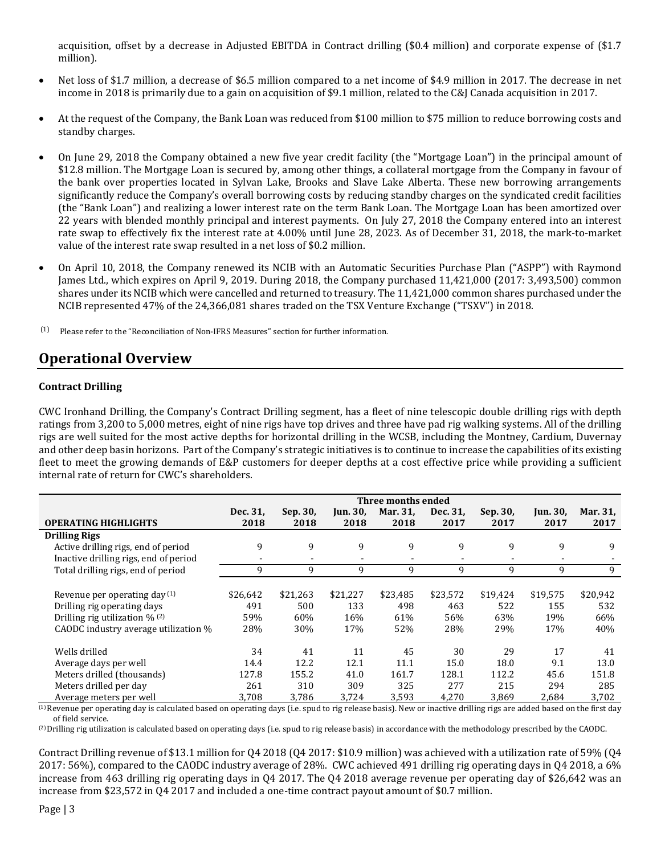acquisition, offset by a decrease in Adjusted EBITDA in Contract drilling (\$0.4 million) and corporate expense of (\$1.7 million).

- Net loss of \$1.7 million, a decrease of \$6.5 million compared to a net income of \$4.9 million in 2017. The decrease in net income in 2018 is primarily due to a gain on acquisition of \$9.1 million, related to the C&J Canada acquisition in 2017.
- At the request of the Company, the Bank Loan was reduced from \$100 million to \$75 million to reduce borrowing costs and standby charges.
- On June 29, 2018 the Company obtained a new five year credit facility (the "Mortgage Loan") in the principal amount of \$12.8 million. The Mortgage Loan is secured by, among other things, a collateral mortgage from the Company in favour of the bank over properties located in Sylvan Lake, Brooks and Slave Lake Alberta. These new borrowing arrangements significantly reduce the Company's overall borrowing costs by reducing standby charges on the syndicated credit facilities (the "Bank Loan") and realizing a lower interest rate on the term Bank Loan. The Mortgage Loan has been amortized over 22 years with blended monthly principal and interest payments. On July 27, 2018 the Company entered into an interest rate swap to effectively fix the interest rate at 4.00% until June 28, 2023. As of December 31, 2018, the mark-to-market value of the interest rate swap resulted in a net loss of \$0.2 million.
- On April 10, 2018, the Company renewed its NCIB with an Automatic Securities Purchase Plan ("ASPP") with Raymond James Ltd., which expires on April 9, 2019. During 2018, the Company purchased 11,421,000 (2017: 3,493,500) common shares under its NCIB which were cancelled and returned to treasury. The 11,421,000 common shares purchased under the NCIB represented 47% of the 24,366,081 shares traded on the TSX Venture Exchange ("TSXV") in 2018.

(1) Please refer to the "Reconciliation of Non-IFRS Measures" section for further information.

### **Operational Overview**

#### **Contract Drilling**

CWC Ironhand Drilling, the Company's Contract Drilling segment, has a fleet of nine telescopic double drilling rigs with depth ratings from 3,200 to 5,000 metres, eight of nine rigs have top drives and three have pad rig walking systems. All of the drilling rigs are well suited for the most active depths for horizontal drilling in the WCSB, including the Montney, Cardium, Duvernay and other deep basin horizons. Part of the Company's strategic initiatives is to continue to increase the capabilities of its existing fleet to meet the growing demands of E&P customers for deeper depths at a cost effective price while providing a sufficient internal rate of return for CWC's shareholders.

|                                                                                                                                            | Three months ended |          |                 |          |          |          |                 |          |
|--------------------------------------------------------------------------------------------------------------------------------------------|--------------------|----------|-----------------|----------|----------|----------|-----------------|----------|
|                                                                                                                                            | Dec. 31,           | Sep. 30, | <b>Jun. 30.</b> | Mar. 31, | Dec. 31, | Sep. 30, | <b>Jun. 30,</b> | Mar. 31, |
| <b>OPERATING HIGHLIGHTS</b>                                                                                                                | 2018               | 2018     | 2018            | 2018     | 2017     | 2017     | 2017            | 2017     |
| <b>Drilling Rigs</b>                                                                                                                       |                    |          |                 |          |          |          |                 |          |
| Active drilling rigs, end of period                                                                                                        | 9                  | 9        | 9               | 9        | 9        | 9        | 9               | 9        |
| Inactive drilling rigs, end of period                                                                                                      |                    |          | ۰               |          |          |          |                 |          |
| Total drilling rigs, end of period                                                                                                         | 9                  | 9        | 9               | 9        | 9        | 9        | 9               | 9        |
|                                                                                                                                            |                    |          |                 |          |          |          |                 |          |
| Revenue per operating day (1)                                                                                                              | \$26,642           | \$21,263 | \$21,227        | \$23,485 | \$23,572 | \$19,424 | \$19,575        | \$20,942 |
| Drilling rig operating days                                                                                                                | 491                | 500      | 133             | 498      | 463      | 522      | 155             | 532      |
| Drilling rig utilization $\%$ (2)                                                                                                          | 59%                | 60%      | 16%             | 61%      | 56%      | 63%      | 19%             | 66%      |
| CAODC industry average utilization %                                                                                                       | 28%                | 30%      | 17%             | 52%      | 28%      | 29%      | 17%             | 40%      |
| Wells drilled                                                                                                                              | 34                 | 41       | 11              | 45       | 30       | 29       | 17              | 41       |
| Average days per well                                                                                                                      | 14.4               | 12.2     | 12.1            | 11.1     | 15.0     | 18.0     | 9.1             | 13.0     |
| Meters drilled (thousands)                                                                                                                 | 127.8              | 155.2    | 41.0            | 161.7    | 128.1    | 112.2    | 45.6            | 151.8    |
| Meters drilled per day                                                                                                                     | 261                | 310      | 309             | 325      | 277      | 215      | 294             | 285      |
| Average meters per well<br>the contract of the contract of the contract of the contract of the contract of the contract of the contract of | 3,708              | 3,786    | 3,724           | 3,593    | 4,270    | 3,869    | 2,684           | 3,702    |

(1) Revenue per operating day is calculated based on operating days (i.e. spud to rig release basis). New or inactive drilling rigs are added based on the first day of field service.

(2) Drilling rig utilization is calculated based on operating days (i.e. spud to rig release basis) in accordance with the methodology prescribed by the CAODC.

Contract Drilling revenue of \$13.1 million for Q4 2018 (Q4 2017: \$10.9 million) was achieved with a utilization rate of 59% (Q4 2017: 56%), compared to the CAODC industry average of 28%. CWC achieved 491 drilling rig operating days in Q4 2018, a 6% increase from 463 drilling rig operating days in Q4 2017. The Q4 2018 average revenue per operating day of \$26,642 was an increase from \$23,572 in Q4 2017 and included a one-time contract payout amount of \$0.7 million.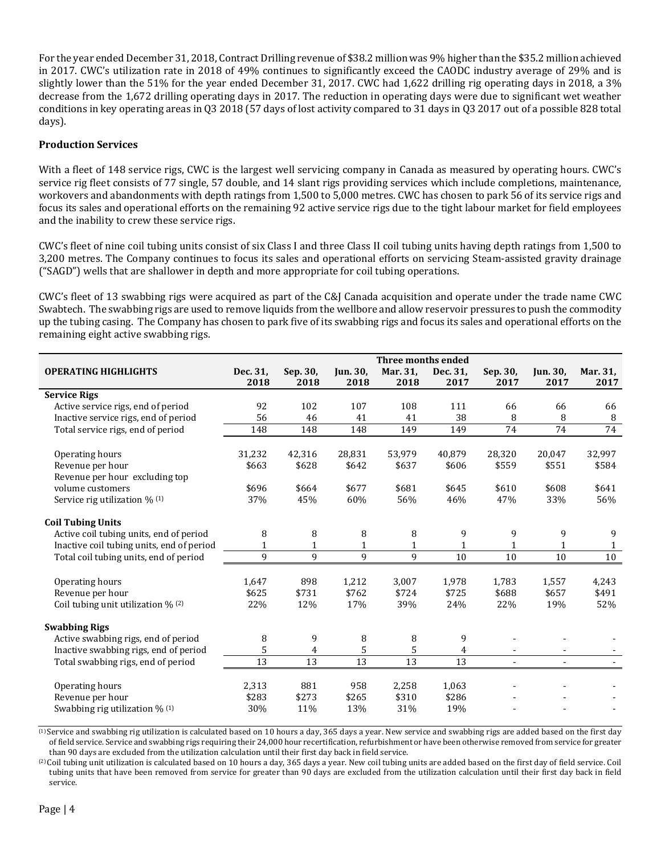For the year ended December 31, 2018, Contract Drilling revenue of \$38.2 million was 9% higher than the \$35.2 million achieved in 2017. CWC's utilization rate in 2018 of 49% continues to significantly exceed the CAODC industry average of 29% and is slightly lower than the 51% for the year ended December 31, 2017. CWC had 1,622 drilling rig operating days in 2018, a 3% decrease from the 1,672 drilling operating days in 2017. The reduction in operating days were due to significant wet weather conditions in key operating areas in Q3 2018 (57 days of lost activity compared to 31 days in Q3 2017 out of a possible 828 total days).

#### **Production Services**

With a fleet of 148 service rigs, CWC is the largest well servicing company in Canada as measured by operating hours. CWC's service rig fleet consists of 77 single, 57 double, and 14 slant rigs providing services which include completions, maintenance, workovers and abandonments with depth ratings from 1,500 to 5,000 metres. CWC has chosen to park 56 of its service rigs and focus its sales and operational efforts on the remaining 92 active service rigs due to the tight labour market for field employees and the inability to crew these service rigs.

CWC's fleet of nine coil tubing units consist of six Class I and three Class II coil tubing units having depth ratings from 1,500 to 3,200 metres. The Company continues to focus its sales and operational efforts on servicing Steam-assisted gravity drainage ("SAGD") wells that are shallower in depth and more appropriate for coil tubing operations.

CWC's fleet of 13 swabbing rigs were acquired as part of the C&J Canada acquisition and operate under the trade name CWC Swabtech. The swabbing rigs are used to remove liquids from the wellbore and allow reservoir pressures to push the commodity up the tubing casing. The Company has chosen to park five of its swabbing rigs and focus its sales and operational efforts on the remaining eight active swabbing rigs.

|                                              | Three months ended |                  |                         |                  |                  |                  |                         |                  |  |  |  |
|----------------------------------------------|--------------------|------------------|-------------------------|------------------|------------------|------------------|-------------------------|------------------|--|--|--|
| <b>OPERATING HIGHLIGHTS</b>                  | Dec. 31,<br>2018   | Sep. 30,<br>2018 | <b>Jun. 30,</b><br>2018 | Mar. 31,<br>2018 | Dec. 31,<br>2017 | Sep. 30,<br>2017 | <b>Jun. 30,</b><br>2017 | Mar. 31,<br>2017 |  |  |  |
| <b>Service Rigs</b>                          |                    |                  |                         |                  |                  |                  |                         |                  |  |  |  |
| Active service rigs, end of period           | 92                 | 102              | 107                     | 108              | 111              | 66               | 66                      | 66               |  |  |  |
| Inactive service rigs, end of period         | 56                 | 46               | 41                      | 41               | 38               | 8                | 8                       | 8                |  |  |  |
| Total service rigs, end of period            | 148                | 148              | 148                     | 149              | 149              | 74               | 74                      | 74               |  |  |  |
| Operating hours                              | 31,232             | 42,316           | 28,831                  | 53,979           | 40,879           | 28,320           | 20,047                  | 32,997           |  |  |  |
| Revenue per hour                             | \$663              | \$628            | \$642                   | \$637            | \$606            | \$559            | \$551                   | \$584            |  |  |  |
| Revenue per hour excluding top               |                    |                  |                         |                  |                  |                  |                         |                  |  |  |  |
| volume customers                             | \$696              | \$664            | \$677                   | \$681            | \$645            | \$610            | \$608                   | \$641            |  |  |  |
| Service rig utilization % (1)                | 37%                | 45%              | 60%                     | 56%              | 46%              | 47%              | 33%                     | 56%              |  |  |  |
| <b>Coil Tubing Units</b>                     |                    |                  |                         |                  |                  |                  |                         |                  |  |  |  |
| Active coil tubing units, end of period      | 8                  | 8                | 8                       | 8                | 9                | 9                | 9                       | 9                |  |  |  |
| Inactive coil tubing units, end of period    | 1                  | 1                | 1                       | 1                | 1                | 1                | 1                       | 1                |  |  |  |
| Total coil tubing units, end of period       | 9                  | 9                | $\mathbf{q}$            | 9                | 10               | 10               | 10                      | $\overline{10}$  |  |  |  |
| Operating hours                              | 1,647              | 898              | 1,212                   | 3,007            | 1,978            | 1,783            | 1,557                   | 4,243            |  |  |  |
| Revenue per hour                             | \$625              | \$731            | \$762                   | \$724            | \$725            | \$688            | \$657                   | \$491            |  |  |  |
| Coil tubing unit utilization % (2)           | 22%                | 12%              | 17%                     | 39%              | 24%              | 22%              | 19%                     | 52%              |  |  |  |
| <b>Swabbing Rigs</b>                         |                    |                  |                         |                  |                  |                  |                         |                  |  |  |  |
| Active swabbing rigs, end of period          | 8                  | 9                | 8                       | 8                | 9                |                  |                         |                  |  |  |  |
| Inactive swabbing rigs, end of period        | 5                  | 4                | 5                       | 5                | 4                |                  |                         |                  |  |  |  |
| Total swabbing rigs, end of period           | 13                 | 13               | 13                      | 13               | 13               |                  |                         |                  |  |  |  |
| Operating hours                              | 2,313              | 881              | 958                     | 2,258            | 1,063            |                  |                         |                  |  |  |  |
| Revenue per hour                             | \$283              | \$273            | \$265                   | \$310            | \$286            |                  |                         |                  |  |  |  |
| Swabbing rig utilization $\%$ <sup>(1)</sup> | 30%                | 11%              | 13%                     | 31%              | 19%              |                  |                         |                  |  |  |  |

(1) Service and swabbing rig utilization is calculated based on 10 hours a day, 365 days a year. New service and swabbing rigs are added based on the first day of field service. Service and swabbing rigs requiring their 24,000 hour recertification, refurbishment or have been otherwise removed from service for greater than 90 days are excluded from the utilization calculation until their first day back in field service.

(2) Coil tubing unit utilization is calculated based on 10 hours a day, 365 days a year. New coil tubing units are added based on the first day of field service. Coil tubing units that have been removed from service for greater than 90 days are excluded from the utilization calculation until their first day back in field service.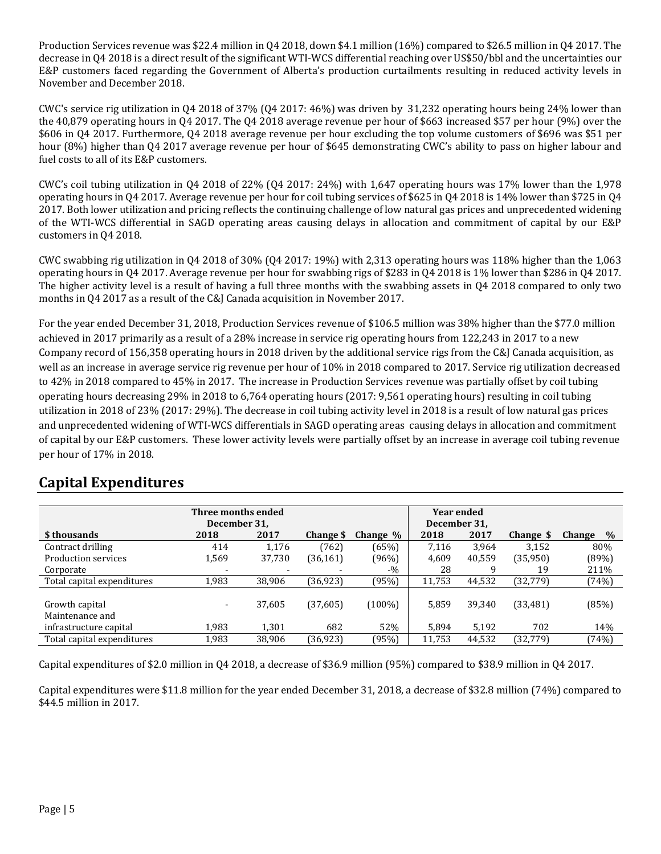Production Services revenue was \$22.4 million in Q4 2018, down \$4.1 million (16%) compared to \$26.5 million in Q4 2017. The decrease in Q4 2018 is a direct result of the significant WTI-WCS differential reaching over US\$50/bbl and the uncertainties our E&P customers faced regarding the Government of Alberta's production curtailments resulting in reduced activity levels in November and December 2018.

CWC's service rig utilization in Q4 2018 of 37% (Q4 2017: 46%) was driven by 31,232 operating hours being 24% lower than the 40,879 operating hours in Q4 2017. The Q4 2018 average revenue per hour of \$663 increased \$57 per hour (9%) over the \$606 in Q4 2017. Furthermore, Q4 2018 average revenue per hour excluding the top volume customers of \$696 was \$51 per hour (8%) higher than Q4 2017 average revenue per hour of \$645 demonstrating CWC's ability to pass on higher labour and fuel costs to all of its E&P customers.

CWC's coil tubing utilization in Q4 2018 of 22% (Q4 2017: 24%) with 1,647 operating hours was 17% lower than the 1,978 operating hours in Q4 2017. Average revenue per hour for coil tubing services of \$625 in Q4 2018 is 14% lower than \$725 in Q4 2017. Both lower utilization and pricing reflects the continuing challenge of low natural gas prices and unprecedented widening of the WTI-WCS differential in SAGD operating areas causing delays in allocation and commitment of capital by our E&P customers in Q4 2018.

CWC swabbing rig utilization in Q4 2018 of 30% (Q4 2017: 19%) with 2,313 operating hours was 118% higher than the 1,063 operating hours in Q4 2017. Average revenue per hour for swabbing rigs of \$283 in Q4 2018 is 1% lower than \$286 in Q4 2017. The higher activity level is a result of having a full three months with the swabbing assets in Q4 2018 compared to only two months in Q4 2017 as a result of the C&J Canada acquisition in November 2017.

For the year ended December 31, 2018, Production Services revenue of \$106.5 million was 38% higher than the \$77.0 million achieved in 2017 primarily as a result of a 28% increase in service rig operating hours from 122,243 in 2017 to a new Company record of 156,358 operating hours in 2018 driven by the additional service rigs from the C&J Canada acquisition, as well as an increase in average service rig revenue per hour of 10% in 2018 compared to 2017. Service rig utilization decreased to 42% in 2018 compared to 45% in 2017. The increase in Production Services revenue was partially offset by coil tubing operating hours decreasing 29% in 2018 to 6,764 operating hours (2017: 9,561 operating hours) resulting in coil tubing utilization in 2018 of 23% (2017: 29%). The decrease in coil tubing activity level in 2018 is a result of low natural gas prices and unprecedented widening of WTI-WCS differentials in SAGD operating areas causing delays in allocation and commitment of capital by our E&P customers. These lower activity levels were partially offset by an increase in average coil tubing revenue per hour of 17% in 2018.

| Three months ended<br>December 31, |                          |        |           |          |        | <b>Year ended</b><br>December 31, |           |                |  |
|------------------------------------|--------------------------|--------|-----------|----------|--------|-----------------------------------|-----------|----------------|--|
| \$ thousands                       | 2018                     | 2017   | Change \$ | Change % | 2018   | 2017                              | Change \$ | Change<br>$\%$ |  |
| Contract drilling                  | 414                      | 1.176  | (762)     | (65%)    | 7.116  | 3.964                             | 3.152     | 80%            |  |
| Production services                | 1,569                    | 37,730 | (36, 161) | (96%)    | 4.609  | 40,559                            | (35,950)  | (89%)          |  |
| Corporate                          | $\overline{\phantom{0}}$ |        |           | $-9/0$   | 28     | q                                 | 19        | 211%           |  |
| Total capital expenditures         | 1,983                    | 38,906 | (36,923)  | (95%)    | 11,753 | 44,532                            | (32, 779) | (74%)          |  |
| Growth capital<br>Maintenance and  | ٠                        | 37,605 | (37,605)  | (100%)   | 5.859  | 39,340                            | (33, 481) | (85%)          |  |
| infrastructure capital             | 1.983                    | 1.301  | 682       | 52%      | 5.894  | 5,192                             | 702       | 14%            |  |
| Total capital expenditures         | 1.983                    | 38.906 | (36,923)  | (95%)    | 11,753 | 44,532                            | (32, 779) | $74\%$         |  |

# **Capital Expenditures**

Capital expenditures of \$2.0 million in Q4 2018, a decrease of \$36.9 million (95%) compared to \$38.9 million in Q4 2017.

Capital expenditures were \$11.8 million for the year ended December 31, 2018, a decrease of \$32.8 million (74%) compared to \$44.5 million in 2017.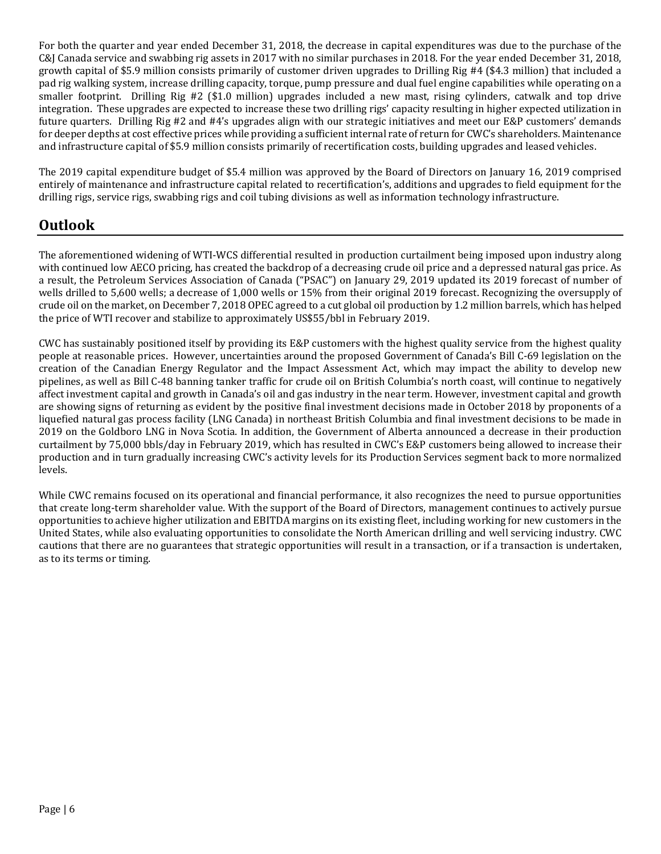For both the quarter and year ended December 31, 2018, the decrease in capital expenditures was due to the purchase of the C&J Canada service and swabbing rig assets in 2017 with no similar purchases in 2018. For the year ended December 31, 2018, growth capital of \$5.9 million consists primarily of customer driven upgrades to Drilling Rig #4 (\$4.3 million) that included a pad rig walking system, increase drilling capacity, torque, pump pressure and dual fuel engine capabilities while operating on a smaller footprint. Drilling Rig #2 (\$1.0 million) upgrades included a new mast, rising cylinders, catwalk and top drive integration. These upgrades are expected to increase these two drilling rigs' capacity resulting in higher expected utilization in future quarters. Drilling Rig #2 and #4's upgrades align with our strategic initiatives and meet our E&P customers' demands for deeper depths at cost effective prices while providing a sufficient internal rate of return for CWC's shareholders. Maintenance and infrastructure capital of \$5.9 million consists primarily of recertification costs, building upgrades and leased vehicles.

The 2019 capital expenditure budget of \$5.4 million was approved by the Board of Directors on January 16, 2019 comprised entirely of maintenance and infrastructure capital related to recertification's, additions and upgrades to field equipment for the drilling rigs, service rigs, swabbing rigs and coil tubing divisions as well as information technology infrastructure.

### **Outlook**

The aforementioned widening of WTI-WCS differential resulted in production curtailment being imposed upon industry along with continued low AECO pricing, has created the backdrop of a decreasing crude oil price and a depressed natural gas price. As a result, the Petroleum Services Association of Canada ("PSAC") on January 29, 2019 updated its 2019 forecast of number of wells drilled to 5,600 wells; a decrease of 1,000 wells or 15% from their original 2019 forecast. Recognizing the oversupply of crude oil on the market, on December 7, 2018 OPEC agreed to a cut global oil production by 1.2 million barrels, which has helped the price of WTI recover and stabilize to approximately US\$55/bbl in February 2019.

CWC has sustainably positioned itself by providing its E&P customers with the highest quality service from the highest quality people at reasonable prices. However, uncertainties around the proposed Government of Canada's Bill C-69 legislation on the creation of the Canadian Energy Regulator and the Impact Assessment Act, which may impact the ability to develop new pipelines, as well as Bill C-48 banning tanker traffic for crude oil on British Columbia's north coast, will continue to negatively affect investment capital and growth in Canada's oil and gas industry in the near term. However, investment capital and growth are showing signs of returning as evident by the positive final investment decisions made in October 2018 by proponents of a liquefied natural gas process facility (LNG Canada) in northeast British Columbia and final investment decisions to be made in 2019 on the Goldboro LNG in Nova Scotia. In addition, the Government of Alberta announced a decrease in their production curtailment by 75,000 bbls/day in February 2019, which has resulted in CWC's E&P customers being allowed to increase their production and in turn gradually increasing CWC's activity levels for its Production Services segment back to more normalized levels.

While CWC remains focused on its operational and financial performance, it also recognizes the need to pursue opportunities that create long-term shareholder value. With the support of the Board of Directors, management continues to actively pursue opportunities to achieve higher utilization and EBITDA margins on its existing fleet, including working for new customers in the United States, while also evaluating opportunities to consolidate the North American drilling and well servicing industry. CWC cautions that there are no guarantees that strategic opportunities will result in a transaction, or if a transaction is undertaken, as to its terms or timing.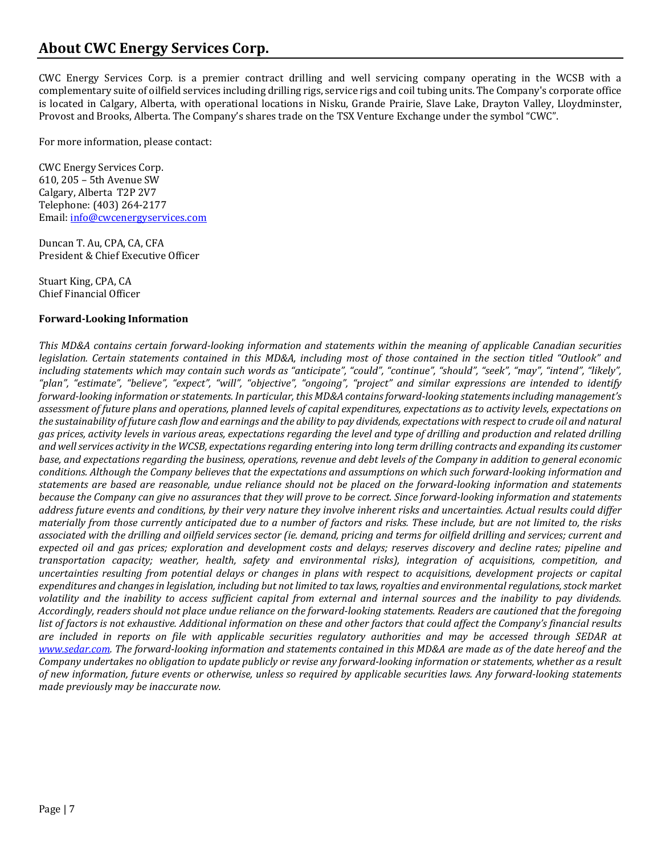CWC Energy Services Corp. is a premier contract drilling and well servicing company operating in the WCSB with a complementary suite of oilfield services including drilling rigs, service rigs and coil tubing units. The Company's corporate office is located in Calgary, Alberta, with operational locations in Nisku, Grande Prairie, Slave Lake, Drayton Valley, Lloydminster, Provost and Brooks, Alberta. The Company's shares trade on the TSX Venture Exchange under the symbol "CWC".

For more information, please contact:

CWC Energy Services Corp. 610, 205 – 5th Avenue SW Calgary, Alberta T2P 2V7 Telephone: (403) 264-2177 Email: [info@cwcenergyservices.com](mailto:info@cwcenergyservices.com)

Duncan T. Au, CPA, CA, CFA President & Chief Executive Officer

Stuart King, CPA, CA Chief Financial Officer

#### **Forward-Looking Information**

*This MD&A contains certain forward-looking information and statements within the meaning of applicable Canadian securities legislation. Certain statements contained in this MD&A, including most of those contained in the section titled "Outlook" and including statements which may contain such words as "anticipate", "could", "continue", "should", "seek", "may", "intend", "likely", "plan", "estimate", "believe", "expect", "will", "objective", "ongoing", "project" and similar expressions are intended to identify forward-looking information or statements. In particular, this MD&A contains forward-looking statements including management's assessment of future plans and operations, planned levels of capital expenditures, expectations as to activity levels, expectations on the sustainability of future cash flow and earnings and the ability to pay dividends, expectations with respect to crude oil and natural gas prices, activity levels in various areas, expectations regarding the level and type of drilling and production and related drilling and well services activity in the WCSB, expectations regarding entering into long term drilling contracts and expanding its customer base, and expectations regarding the business, operations, revenue and debt levels of the Company in addition to general economic conditions. Although the Company believes that the expectations and assumptions on which such forward-looking information and statements are based are reasonable, undue reliance should not be placed on the forward-looking information and statements because the Company can give no assurances that they will prove to be correct. Since forward-looking information and statements address future events and conditions, by their very nature they involve inherent risks and uncertainties. Actual results could differ materially from those currently anticipated due to a number of factors and risks. These include, but are not limited to, the risks associated with the drilling and oilfield services sector (ie. demand, pricing and terms for oilfield drilling and services; current and expected oil and gas prices; exploration and development costs and delays; reserves discovery and decline rates; pipeline and transportation capacity; weather, health, safety and environmental risks), integration of acquisitions, competition, and uncertainties resulting from potential delays or changes in plans with respect to acquisitions, development projects or capital expenditures and changes in legislation, including but not limited to tax laws, royalties and environmental regulations, stock market volatility and the inability to access sufficient capital from external and internal sources and the inability to pay dividends. Accordingly, readers should not place undue reliance on the forward-looking statements. Readers are cautioned that the foregoing list of factors is not exhaustive. Additional information on these and other factors that could affect the Company's financial results are included in reports on file with applicable securities regulatory authorities and may be accessed through SEDAR at [www.sedar.com.](http://www.sedar.com/) The forward-looking information and statements contained in this MD&A are made as of the date hereof and the Company undertakes no obligation to update publicly or revise any forward-looking information or statements, whether as a result of new information, future events or otherwise, unless so required by applicable securities laws. Any forward-looking statements made previously may be inaccurate now.*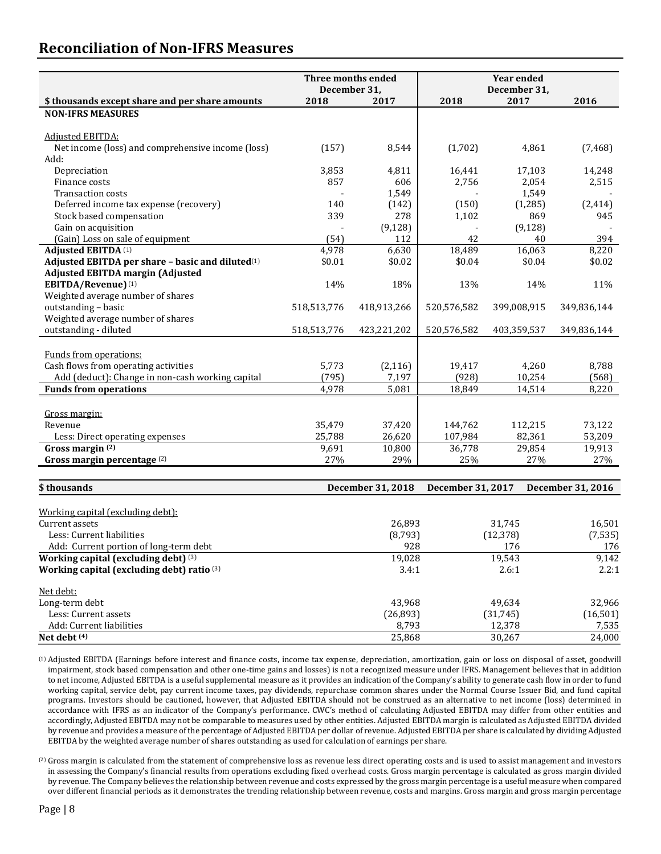### **Reconciliation of Non-IFRS Measures**

|                                                              | Three months ended<br>December 31, |                   |                   |                      |                   |
|--------------------------------------------------------------|------------------------------------|-------------------|-------------------|----------------------|-------------------|
| \$ thousands except share and per share amounts              | 2018                               | 2017              | 2018              | December 31,<br>2017 | 2016              |
| <b>NON-IFRS MEASURES</b>                                     |                                    |                   |                   |                      |                   |
| Adjusted EBITDA:                                             |                                    |                   |                   |                      |                   |
| Net income (loss) and comprehensive income (loss)<br>Add:    | (157)                              | 8,544             | (1,702)           | 4,861                | (7, 468)          |
| Depreciation                                                 | 3,853                              | 4,811             | 16,441            | 17,103               | 14,248            |
| Finance costs                                                | 857                                | 606               | 2,756             | 2,054                | 2,515             |
| <b>Transaction costs</b>                                     |                                    | 1,549             |                   | 1,549                |                   |
| Deferred income tax expense (recovery)                       | 140                                | (142)             | (150)             | (1, 285)             | (2, 414)          |
| Stock based compensation                                     | 339                                | 278               | 1,102             | 869                  | 945               |
| Gain on acquisition                                          |                                    | (9, 128)          |                   | (9, 128)             |                   |
| (Gain) Loss on sale of equipment                             | (54)                               | 112               | 42                | 40                   | 394               |
| Adjusted EBITDA (1)                                          | 4,978                              | 6,630             | 18,489            | 16,063               | 8,220             |
| Adjusted EBITDA per share - basic and diluted <sup>(1)</sup> | \$0.01                             | \$0.02            | \$0.04            | \$0.04               | \$0.02            |
| <b>Adjusted EBITDA margin (Adjusted</b>                      |                                    |                   |                   |                      |                   |
| <b>EBITDA/Revenue)</b> (1)                                   | 14%                                | 18%               | 13%               | 14%                  | 11%               |
| Weighted average number of shares                            |                                    |                   |                   |                      |                   |
| outstanding - basic                                          | 518,513,776                        | 418,913,266       | 520,576,582       | 399,008,915          | 349,836,144       |
| Weighted average number of shares                            |                                    |                   |                   |                      |                   |
| outstanding - diluted                                        | 518,513,776                        | 423,221,202       | 520,576,582       | 403,359,537          | 349,836,144       |
|                                                              |                                    |                   |                   |                      |                   |
| Funds from operations:                                       |                                    |                   |                   |                      |                   |
| Cash flows from operating activities                         | 5,773                              | (2, 116)          | 19,417            | 4,260                | 8,788             |
| Add (deduct): Change in non-cash working capital             | (795)                              | 7,197             | (928)             | 10,254               | (568)             |
| <b>Funds from operations</b>                                 | 4,978                              | 5,081             | 18,849            | 14,514               | 8,220             |
| Gross margin:                                                |                                    |                   |                   |                      |                   |
| Revenue                                                      | 35,479                             | 37,420            | 144,762           | 112,215              | 73,122            |
| Less: Direct operating expenses                              | 25,788                             | 26,620            | 107,984           | 82,361               | 53,209            |
| Gross margin (2)                                             | 9,691                              | 10,800            | 36,778            | 29,854               | 19,913            |
| Gross margin percentage (2)                                  | 27%                                | 29%               | 25%               | 27%                  | 27%               |
|                                                              |                                    |                   |                   |                      |                   |
| \$thousands                                                  |                                    | December 31, 2018 | December 31, 2017 |                      | December 31, 2016 |
| Working capital (excluding debt):                            |                                    |                   |                   |                      |                   |
| Current assets                                               |                                    | 26,893            |                   | 31,745               | 16,501            |
| Less: Current liabilities                                    |                                    | (8, 793)          |                   | (12, 378)            | (7, 535)          |
| Add: Current portion of long-term debt                       |                                    | 928               |                   | 176                  | 176               |
| Working capital (excluding debt) <sup>(3)</sup>              |                                    | 19,028            |                   | 19,543               | 9,142             |
| Working capital (excluding debt) ratio (3)                   |                                    | 3.4:1             |                   | 2.6:1                | 2.2:1             |

<u>Net debt:</u> Long-term debt 43,968 49,634 32,966 Less: Current assets (26,893) (31,745) (16,501) Add: Current liabilities 8,793 12,378 7,535<br>
Net debt (4) 25,868 30,267 24,000 **Net debt** (4) 25,868 30,267 24,000

(1) Adjusted EBITDA (Earnings before interest and finance costs, income tax expense, depreciation, amortization, gain or loss on disposal of asset, goodwill impairment, stock based compensation and other one-time gains and losses) is not a recognized measure under IFRS. Management believes that in addition to net income, Adjusted EBITDA is a useful supplemental measure as it provides an indication of the Company's ability to generate cash flow in order to fund working capital, service debt, pay current income taxes, pay dividends, repurchase common shares under the Normal Course Issuer Bid, and fund capital programs. Investors should be cautioned, however, that Adjusted EBITDA should not be construed as an alternative to net income (loss) determined in accordance with IFRS as an indicator of the Company's performance. CWC's method of calculating Adjusted EBITDA may differ from other entities and accordingly, Adjusted EBITDA may not be comparable to measures used by other entities. Adjusted EBITDA margin is calculated as Adjusted EBITDA divided by revenue and provides a measure of the percentage of Adjusted EBITDA per dollar of revenue. Adjusted EBITDA per share is calculated by dividing Adjusted EBITDA by the weighted average number of shares outstanding as used for calculation of earnings per share.

(2) Gross margin is calculated from the statement of comprehensive loss as revenue less direct operating costs and is used to assist management and investors in assessing the Company's financial results from operations excluding fixed overhead costs. Gross margin percentage is calculated as gross margin divided by revenue. The Company believes the relationship between revenue and costs expressed by the gross margin percentage is a useful measure when compared over different financial periods as it demonstrates the trending relationship between revenue, costs and margins. Gross margin and gross margin percentage